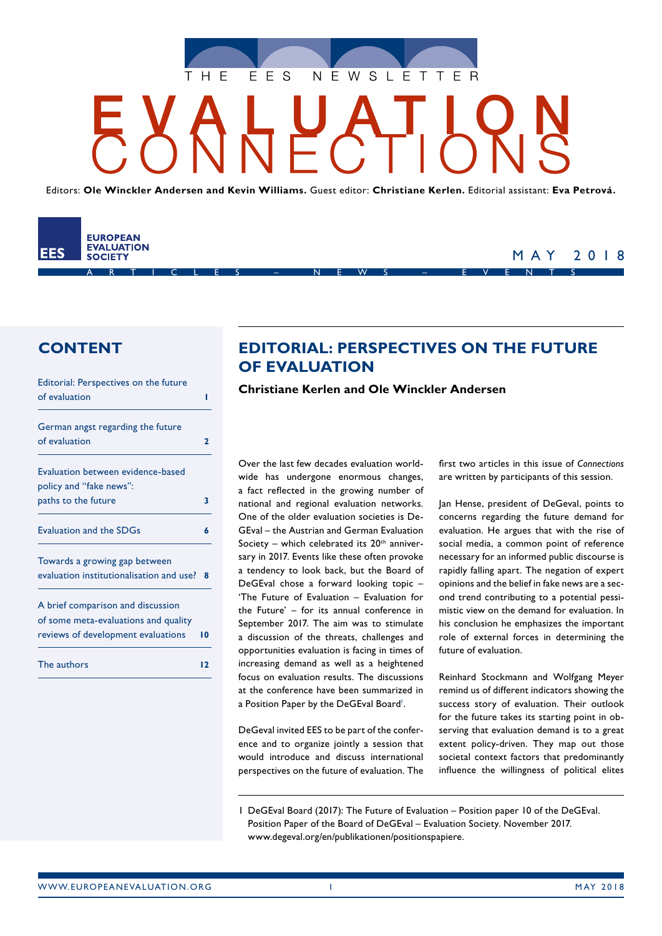

Editors: **Ole Winckler Andersen and Kevin Williams.** Guest editor: **Christiane Kerlen.** Editorial assistant: **Eva Petrová.**



# MAY 2018

# **CONTENT**

| Editorial: Perspectives on the future    |    |
|------------------------------------------|----|
| of evaluation                            | ı  |
| German angst regarding the future        |    |
| of evaluation                            | 7  |
| Evaluation between evidence-based        |    |
| policy and "fake news":                  |    |
| paths to the future                      | 3  |
| <b>Evaluation and the SDGs</b>           | 6  |
| Towards a growing gap between            |    |
| evaluation institutionalisation and use? | R  |
| A brief comparison and discussion        |    |
| of some meta-evaluations and quality     |    |
| reviews of development evaluations       | 10 |
| The authors                              | 12 |
|                                          |    |

# **EDITORIAL: PERSPECTIVES ON THE FUTURE OF EVALUATION**

**Christiane Kerlen and Ole Winckler Andersen**

Over the last few decades evaluation worldwide has undergone enormous changes, a fact reflected in the growing number of national and regional evaluation networks. One of the older evaluation societies is De‑ GEval – the Austrian and German Evaluation Society – which celebrated its  $20<sup>th</sup>$  anniversary in 2017. Events like these often provoke a tendency to look back, but the Board of DeGEval chose a forward looking topic – 'The Future of Evaluation – Evaluation for the Future' – for its annual conference in September 2017. The aim was to stimulate a discussion of the threats, challenges and opportunities evaluation is facing in times of increasing demand as well as a heightened focus on evaluation results. The discussions at the conference have been summarized in a Position Paper by the DeGEval Board'.

DeGeval invited EES to be part of the conference and to organize jointly a session that would introduce and discuss international perspectives on the future of evaluation. The

first two articles in this issue of *Connections* are written by participants of this session.

Jan Hense, president of DeGeval, points to concerns regarding the future demand for evaluation. He argues that with the rise of social media, a common point of reference necessary for an informed public discourse is rapidly falling apart. The negation of expert opinions and the belief in fake news are a second trend contributing to a potential pessimistic view on the demand for evaluation. In his conclusion he emphasizes the important role of external forces in determining the future of evaluation.

Reinhard Stockmann and Wolfgang Meyer remind us of different indicators showing the success story of evaluation. Their outlook for the future takes its starting point in observing that evaluation demand is to a great extent policy-driven. They map out those societal context factors that predominantly influence the willingness of political elites

<sup>1</sup> DeGEval Board (2017): The Future of Evaluation – Position paper 10 of the DeGEval. Position Paper of the Board of DeGEval – Evaluation Society. November 2017. www.degeval.org/en/publikationen/positionspapiere.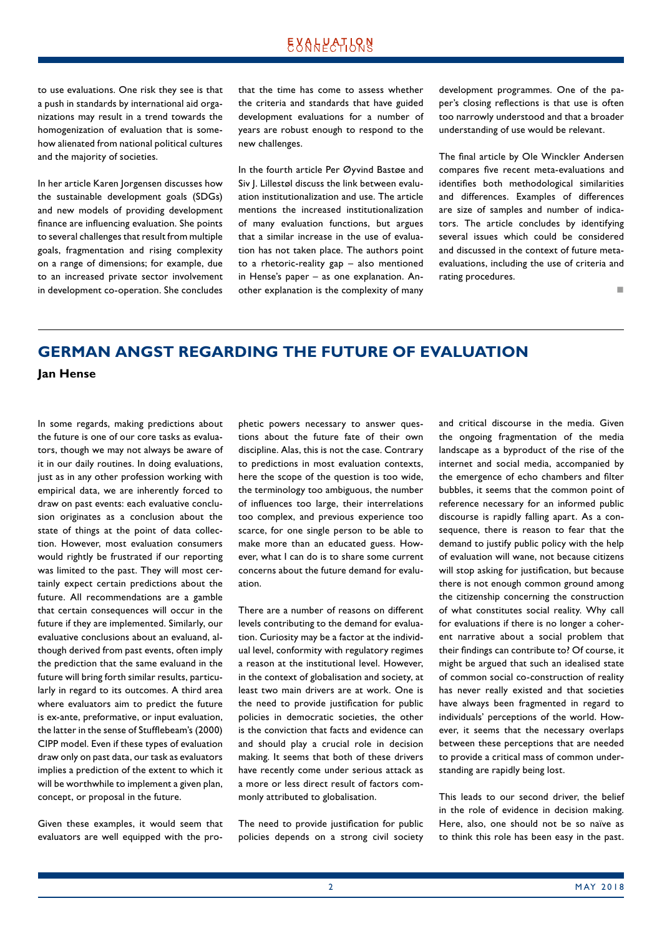<span id="page-1-0"></span>to use evaluations. One risk they see is that a push in standards by international aid organizations may result in a trend towards the homogenization of evaluation that is somehow alienated from national political cultures and the majority of societies.

In her article Karen Jorgensen discusses how the sustainable development goals (SDGs) and new models of providing development finance are influencing evaluation. She points to several challenges that result from multiple goals, fragmentation and rising complexity on a range of dimensions; for example, due to an increased private sector involvement in development co-operation. She concludes that the time has come to assess whether the criteria and standards that have guided development evaluations for a number of years are robust enough to respond to the new challenges.

In the fourth article Per Øyvind Bastøe and Siv J. Lillestøl discuss the link between evaluation institutionalization and use. The article mentions the increased institutionalization of many evaluation functions, but argues that a similar increase in the use of evaluation has not taken place. The authors point to a rhetoric-reality gap – also mentioned in Hense's paper - as one explanation. Another explanation is the complexity of many development programmes. One of the paper's closing reflections is that use is often too narrowly understood and that a broader understanding of use would be relevant.

The final article by Ole Winckler Andersen compares five recent meta-evaluations and identifies both methodological similarities and differences. Examples of differences are size of samples and number of indicators. The article concludes by identifying several issues which could be considered and discussed in the context of future metaevaluations, including the use of criteria and rating procedures.

not a contract the contract of the

# **GERMAN ANGST REGARDING THE FUTURE OF EVALUATION**

**Jan Hense**

In some regards, making predictions about the future is one of our core tasks as evaluators, though we may not always be aware of it in our daily routines. In doing evaluations, just as in any other profession working with empirical data, we are inherently forced to draw on past events: each evaluative conclusion originates as a conclusion about the state of things at the point of data collection. However, most evaluation consumers would rightly be frustrated if our reporting was limited to the past. They will most certainly expect certain predictions about the future. All recommendations are a gamble that certain consequences will occur in the future if they are implemented. Similarly, our evaluative conclusions about an evaluand, although derived from past events, often imply the prediction that the same evaluand in the future will bring forth similar results, particularly in regard to its outcomes. A third area where evaluators aim to predict the future is ex-ante, preformative, or input evaluation, the latter in the sense of Stufflebeam's (2000) CIPP model. Even if these types of evaluation draw only on past data, our task as evaluators implies a prediction of the extent to which it will be worthwhile to implement a given plan, concept, or proposal in the future.

Given these examples, it would seem that evaluators are well equipped with the prophetic powers necessary to answer questions about the future fate of their own discipline. Alas, this is not the case. Contrary to predictions in most evaluation contexts, here the scope of the question is too wide, the terminology too ambiguous, the number of influences too large, their interrelations too complex, and previous experience too scarce, for one single person to be able to make more than an educated guess. However, what I can do is to share some current concerns about the future demand for evaluation.

There are a number of reasons on different levels contributing to the demand for evaluation. Curiosity may be a factor at the individual level, conformity with regulatory regimes a reason at the institutional level. However, in the context of globalisation and society, at least two main drivers are at work. One is the need to provide justification for public policies in democratic societies, the other is the conviction that facts and evidence can and should play a crucial role in decision making. It seems that both of these drivers have recently come under serious attack as a more or less direct result of factors commonly attributed to globalisation.

The need to provide justification for public policies depends on a strong civil society and critical discourse in the media. Given the ongoing fragmentation of the media landscape as a byproduct of the rise of the internet and social media, accompanied by the emergence of echo chambers and filter bubbles, it seems that the common point of reference necessary for an informed public discourse is rapidly falling apart. As a consequence, there is reason to fear that the demand to justify public policy with the help of evaluation will wane, not because citizens will stop asking for justification, but because there is not enough common ground among the citizenship concerning the construction of what constitutes social reality. Why call for evaluations if there is no longer a coherent narrative about a social problem that their findings can contribute to? Of course, it might be argued that such an idealised state of common social co-construction of reality has never really existed and that societies have always been fragmented in regard to individuals' perceptions of the world. However, it seems that the necessary overlaps between these perceptions that are needed to provide a critical mass of common understanding are rapidly being lost.

This leads to our second driver, the belief in the role of evidence in decision making. Here, also, one should not be so naïve as to think this role has been easy in the past.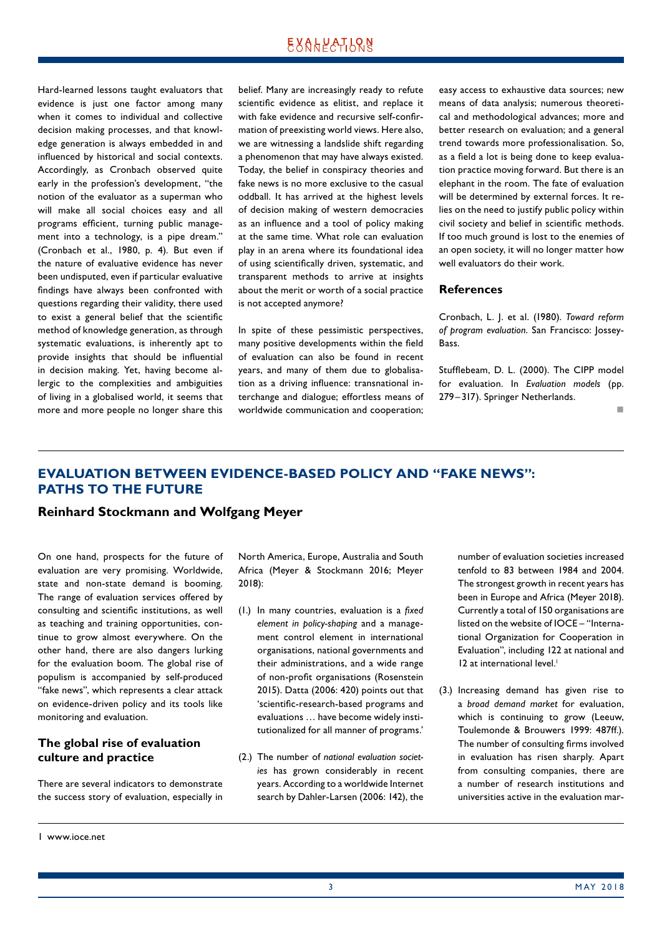<span id="page-2-0"></span>Hard-learned lessons taught evaluators that evidence is just one factor among many when it comes to individual and collective decision making processes, and that knowledge generation is always embedded in and influenced by historical and social contexts. Accordingly, as Cronbach observed quite early in the profession's development, "the notion of the [evaluator](http://www.evoluation.de/glossary#22) as a superman who will make all social choices easy and all [program](http://www.evoluation.de/glossary#25)s efficient, turning public management into a technology, is a pipe dream." (Cronbach et al., 1980, p. 4). But even if the nature of evaluative evidence has never been undisputed, even if particular evaluative findings have always been confronted with questions regarding their validity, there used to exist a general belief that the scientific method of knowledge generation, as through systematic evaluations, is inherently apt to provide insights that should be influential in decision making. Yet, having become allergic to the complexities and ambiguities of living in a globalised world, it seems that more and more people no longer share this belief. Many are increasingly ready to refute scientific evidence as elitist, and replace it with fake evidence and recursive self-confirmation of preexisting world views. Here also, we are witnessing a landslide shift regarding a phenomenon that may have always existed. Today, the belief in conspiracy theories and fake news is no more exclusive to the casual oddball. It has arrived at the highest levels of decision making of western democracies as an influence and a tool of policy making at the same time. What role can evaluation play in an arena where its foundational idea of using scientifically driven, systematic, and transparent methods to arrive at insights about the merit or worth of a social practice is not accepted anymore?

In spite of these pessimistic perspectives, many positive developments within the field of evaluation can also be found in recent years, and many of them due to globalisation as a driving influence: transnational interchange and dialogue; effortless means of worldwide communication and cooperation; easy access to exhaustive data sources; new means of data analysis; numerous theoretical and methodological advances; more and better research on evaluation; and a general trend towards more professionalisation. So, as a field a lot is being done to keep evaluation practice moving forward. But there is an elephant in the room. The fate of evaluation will be determined by external forces. It relies on the need to justify public policy within civil society and belief in scientific methods. If too much ground is lost to the enemies of an open society, it will no longer matter how well evaluators do their work.

#### **References**

Cronbach, L. J. et al. (1980). *Toward reform of program evaluation*. San Francisco: Jossey-Bass.

Stufflebeam, D. L. (2000). The CIPP model for evaluation. In *Evaluation models* (pp. 279–317). Springer Netherlands.

not a contract the contract of the

# **EVALUATION BETWEEN EVIDENCE‑BASED POLICY AND "FAKE NEWS": PATHS TO THE FUTURE**

# **Reinhard Stockmann and Wolfgang Meyer**

On one hand, prospects for the future of evaluation are very promising. Worldwide, state and non-state demand is booming. The range of evaluation services offered by consulting and scientific institutions, as well as teaching and training opportunities, continue to grow almost everywhere. On the other hand, there are also dangers lurking for the evaluation boom. The global rise of populism is accompanied by self-produced "fake news", which represents a clear attack on evidence-driven policy and its tools like monitoring and evaluation.

# **The global rise of evaluation culture and practice**

There are several indicators to demonstrate the success story of evaluation, especially in

- (1.) In many countries, evaluation is a *fixed element in policy-shaping* and a management control element in international organisations, national governments and their administrations, and a wide range of non-profit organisations (Rosenstein 2015). Datta (2006: 420) points out that 'scientific-research-based programs and evaluations ... have become widely institutionalized for all manner of programs.'
- (2.) The number of *national evaluation societies* has grown considerably in recent years. According to a worldwide Internet search by Dahler-Larsen (2006: 142), the

number of evaluation societies increased tenfold to 83 between 1984 and 2004. The strongest growth in recent years has been in Europe and Africa (Meyer 2018). Currently a total of 150 organisations are listed on the website of IOCE – "International Organization for Cooperation in Evaluation", including 122 at national and 12 at international level.<sup>1</sup>

(3.) Increasing demand has given rise to a *broad demand market* for evaluation, which is continuing to grow (Leeuw, Toulemonde & Brouwers 1999: 487ff.). The number of consulting firms involved in evaluation has risen sharply. Apart from consulting companies, there are a number of research institutions and universities active in the evaluation mar-

North America, Europe, Australia and South Africa (Meyer & Stockmann 2016; Meyer 2018):

<sup>1</sup> www.ioce.net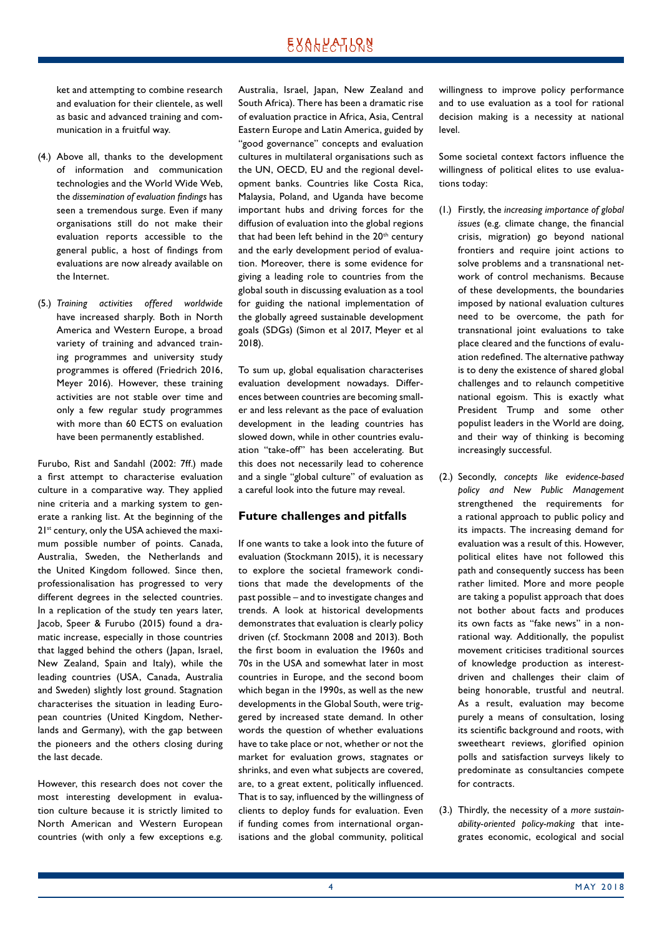ket and attempting to combine research and evaluation for their clientele, as well as basic and advanced training and communication in a fruitful way.

- (4.) Above all, thanks to the development of information and communication technologies and the World Wide Web, the *dissemination of evaluation findings* has seen a tremendous surge. Even if many organisations still do not make their evaluation reports accessible to the general public, a host of findings from evaluations are now already available on the Internet.
- (5.) *Training activities offered worldwide* have increased sharply. Both in North America and Western Europe, a broad variety of training and advanced training programmes and university study programmes is offered (Friedrich 2016, Meyer 2016). However, these training activities are not stable over time and only a few regular study programmes with more than 60 ECTS on evaluation have been permanently established.

Furubo, Rist and Sandahl (2002: 7ff.) made a first attempt to characterise evaluation culture in a comparative way. They applied nine criteria and a marking system to generate a ranking list. At the beginning of the 2<sup>1st</sup> century, only the USA achieved the maximum possible number of points. Canada, Australia, Sweden, the Netherlands and the United Kingdom followed. Since then, professionalisation has progressed to very different degrees in the selected countries. In a replication of the study ten years later, Jacob, Speer & Furubo (2015) found a dramatic increase, especially in those countries that lagged behind the others (Japan, Israel, New Zealand, Spain and Italy), while the leading countries (USA, Canada, Australia and Sweden) slightly lost ground. Stagnation characterises the situation in leading European countries (United Kingdom, Netherlands and Germany), with the gap between the pioneers and the others closing during the last decade.

However, this research does not cover the most interesting development in evaluation culture because it is strictly limited to North American and Western European countries (with only a few exceptions e.g. Australia, Israel, Japan, New Zealand and South Africa). There has been a dramatic rise of evaluation practice in Africa, Asia, Central Eastern Europe and Latin America, guided by "good governance" concepts and evaluation cultures in multilateral organisations such as the UN, OECD, EU and the regional development banks. Countries like Costa Rica, Malaysia, Poland, and Uganda have become important hubs and driving forces for the diffusion of evaluation into the global regions that had been left behind in the 20<sup>th</sup> century and the early development period of evaluation. Moreover, there is some evidence for giving a leading role to countries from the global south in discussing evaluation as a tool for guiding the national implementation of the globally agreed sustainable development goals (SDGs) (Simon et al 2017, Meyer et al 2018).

To sum up, global equalisation characterises evaluation development nowadays. Differences between countries are becoming smaller and less relevant as the pace of evaluation development in the leading countries has slowed down, while in other countries evaluation "take-off" has been accelerating. But this does not necessarily lead to coherence and a single "global culture" of evaluation as a careful look into the future may reveal.

### **Future challenges and pitfalls**

If one wants to take a look into the future of evaluation (Stockmann 2015), it is necessary to explore the societal framework conditions that made the developments of the past possible – and to investigate changes and trends. A look at historical developments demonstrates that evaluation is clearly policy driven (cf. Stockmann 2008 and 2013). Both the first boom in evaluation the 1960s and 70s in the USA and somewhat later in most countries in Europe, and the second boom which began in the 1990s, as well as the new developments in the Global South, were triggered by increased state demand. In other words the question of whether evaluations have to take place or not, whether or not the market for evaluation grows, stagnates or shrinks, and even what subjects are covered, are, to a great extent, politically influenced. That is to say, influenced by the willingness of clients to deploy funds for evaluation. Even if funding comes from international organisations and the global community, political willingness to improve policy performance and to use evaluation as a tool for rational decision making is a necessity at national level.

Some societal context factors influence the willingness of political elites to use evaluations today:

- (1.) Firstly, the *increasing importance of global issues* (e.g. climate change, the financial crisis, migration) go beyond national frontiers and require joint actions to solve problems and a transnational network of control mechanisms. Because of these developments, the boundaries imposed by national evaluation cultures need to be overcome, the path for transnational joint evaluations to take place cleared and the functions of evaluation redefined. The alternative pathway is to deny the existence of shared global challenges and to relaunch competitive national egoism. This is exactly what President Trump and some other populist leaders in the World are doing, and their way of thinking is becoming increasingly successful.
- (2.) Secondly, *concepts like evidence-based policy and New Public Management* strengthened the requirements for a rational approach to public policy and its impacts. The increasing demand for evaluation was a result of this. However, political elites have not followed this path and consequently success has been rather limited. More and more people are taking a populist approach that does not bother about facts and produces its own facts as "fake news" in a nonrational way. Additionally, the populist movement criticises traditional sources of knowledge production as interestdriven and challenges their claim of being honorable, trustful and neutral. As a result, evaluation may become purely a means of consultation, losing its scientific background and roots, with sweetheart reviews, glorified opinion polls and satisfaction surveys likely to predominate as consultancies compete for contracts.
- (3.) Thirdly, the necessity of a *more sustainability-oriented policy-making that inte*grates economic, ecological and social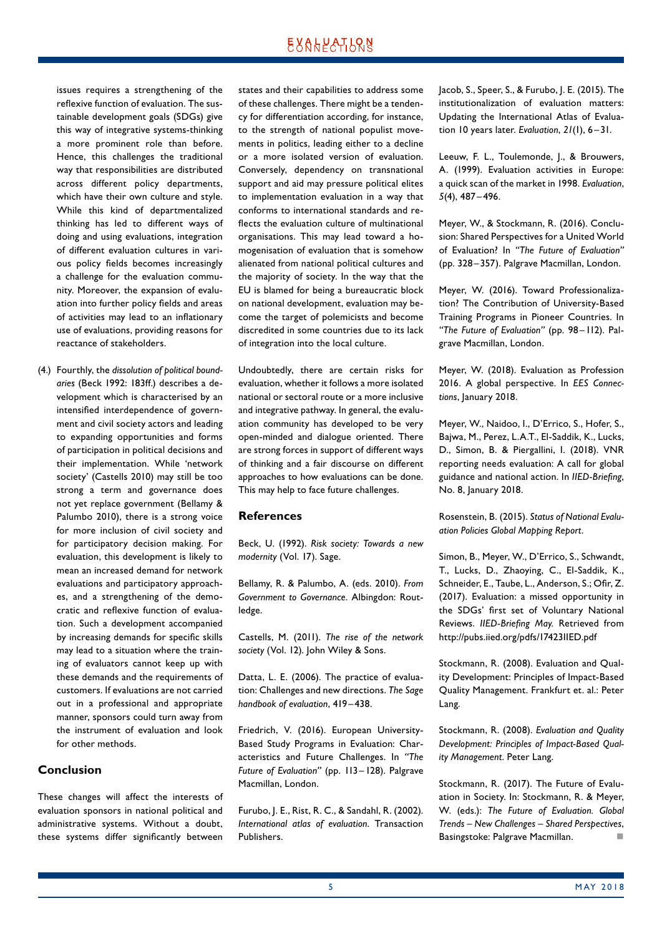issues requires a strengthening of the reflexive function of evaluation. The sustainable development goals (SDGs) give this way of integrative systems-thinking a more prominent role than before. Hence, this challenges the traditional way that responsibilities are distributed across different policy departments, which have their own culture and style. While this kind of departmentalized thinking has led to different ways of doing and using evaluations, integration of different evaluation cultures in various policy fields becomes increasingly a challenge for the evaluation community. Moreover, the expansion of evaluation into further policy fields and areas of activities may lead to an inflationary use of evaluations, providing reasons for reactance of stakeholders.

(4.) Fourthly, the *dissolution of political boundaries* (Beck 1992: 183ff.) describes a de‑ velopment which is characterised by an intensified interdependence of government and civil society actors and leading to expanding opportunities and forms of participation in political decisions and their implementation. While 'network society' (Castells 2010) may still be too strong a term and governance does not yet replace government (Bellamy & Palumbo 2010), there is a strong voice for more inclusion of civil society and for participatory decision making. For evaluation, this development is likely to mean an increased demand for network evaluations and participatory approaches, and a strengthening of the democratic and reflexive function of evaluation. Such a development accompanied by increasing demands for specific skills may lead to a situation where the training of evaluators cannot keep up with these demands and the requirements of customers. If evaluations are not carried out in a professional and appropriate manner, sponsors could turn away from the instrument of evaluation and look for other methods.

### **Conclusion**

These changes will affect the interests of evaluation sponsors in national political and administrative systems. Without a doubt, these systems differ significantly between states and their capabilities to address some of these challenges. There might be a tendency for differentiation according, for instance, to the strength of national populist movements in politics, leading either to a decline or a more isolated version of evaluation. Conversely, dependency on transnational support and aid may pressure political elites to implementation evaluation in a way that conforms to international standards and re‑ flects the evaluation culture of multinational organisations. This may lead toward a homogenisation of evaluation that is somehow alienated from national political cultures and the majority of society. In the way that the EU is blamed for being a bureaucratic block on national development, evaluation may become the target of polemicists and become discredited in some countries due to its lack of integration into the local culture.

Undoubtedly, there are certain risks for evaluation, whether it follows a more isolated national or sectoral route or a more inclusive and integrative pathway. In general, the evaluation community has developed to be very open-minded and dialogue oriented. There are strong forces in support of different ways of thinking and a fair discourse on different approaches to how evaluations can be done. This may help to face future challenges.

### **References**

Beck, U. (1992). *Risk society: Towards a new modernity* (Vol. 17). Sage.

Bellamy, R. & Palumbo, A. (eds. 2010). *From Government to Governance*. Albingdon: Rout‑ ledge.

Castells, M. (2011). *The rise of the network society* (Vol. 12). John Wiley & Sons.

Datta, L. E. (2006). The practice of evaluation: Challenges and new directions. *The Sage handbook of evaluation*, 419 – 438.

Friedrich, V. (2016). European University-Based Study Programs in Evaluation: Characteristics and Future Challenges. In *"The*  Future of Evaluation" (pp. 113-128). Palgrave Macmillan, London.

Furubo, J. E., Rist, R. C., & Sandahl, R. (2002). *International atlas of evaluation*. Transaction Publishers.

Jacob, S., Speer, S., & Furubo, J. E. (2015). The institutionalization of evaluation matters: Updating the International Atlas of Evaluation 10 years later. *Evaluation*, *21*(1), 6–31.

Leeuw, F. L., Toulemonde, J., & Brouwers, A. (1999). Evaluation activities in Europe: a quick scan of the market in 1998. *Evaluation*, *5*(4), 487–496.

Meyer, W., & Stockmann, R. (2016). Conclusion: Shared Perspectives for a United World of Evaluation? In *"The Future of Evaluation"* (pp. 328–357). Palgrave Macmillan, London.

Meyer, W. (2016). Toward Professionalization? The Contribution of University-Based Training Programs in Pioneer Countries. In *"The Future of Evaluation"* (pp. 98– 112). Pal‑ grave Macmillan, London.

Meyer, W. (2018). Evaluation as Profession 2016. A global perspective. In *EES Connections*, January 2018.

Meyer, W., Naidoo, I., D'Errico, S., Hofer, S., Bajwa, M., Perez, L.A.T., El-Saddik, K., Lucks, D., Simon, B. & Piergallini, I. (2018). VNR reporting needs evaluation: A call for global guidance and national action. In *IIED-Briefing*, No. 8, January 2018.

Rosenstein, B. (2015). *Status of National Evaluation Policies Global Mapping Report*.

Simon, B., Meyer, W., D'Errico, S., Schwandt, T., Lucks, D., Zhaoying, C., El-Saddik, K., Schneider, E., Taube, L., Anderson, S.; Ofir, Z. (2017). Evaluation: a missed opportunity in the SDGs' first set of Voluntary National Reviews. *IIED-Briefing May.* Retrieved from <http://pubs.iied.org/pdfs/17423IIED.pdf>

Stockmann, R. (2008). Evaluation and Quality Development: Principles of Impact-Based Quality Management. Frankfurt et. al.: Peter Lang.

Stockmann, R. (2008). *Evaluation and Quality Development: Principles of Impact-Based Quality Management*. Peter Lang.

Stockmann, R. (2017). The Future of Evaluation in Society. In: Stockmann, R. & Meyer, W. (eds.): *The Future of Evaluation. Global Trends – New Challenges – Shared Perspectives*, Basingstoke: Palgrave Macmillan.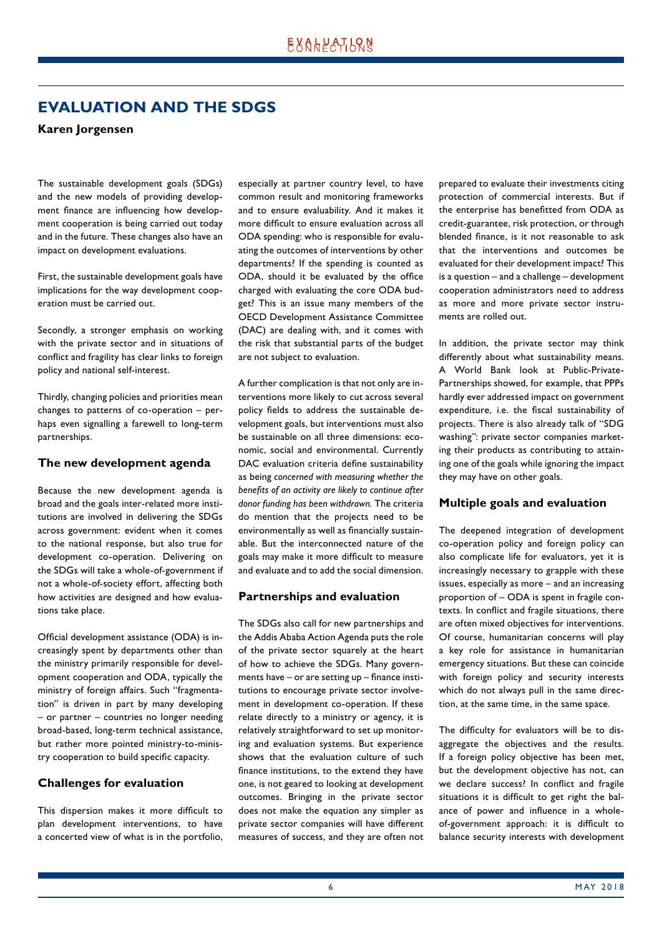# <span id="page-5-0"></span>**EVALUATION AND THE SDGS**

### **Karen Jorgensen**

The sustainable development goals (SDGs) and the new models of providing development finance are influencing how development cooperation is being carried out today and in the future. These changes also have an impact on development evaluations.

First, the sustainable development goals have implications for the way development cooperation must be carried out.

Secondly, a stronger emphasis on working with the private sector and in situations of conflict and fragility has clear links to foreign policy and national self-interest.

Thirdly, changing policies and priorities mean changes to patterns of co-operation - perhaps even signalling a farewell to long-term partnerships.

#### **The new development agenda**

Because the new development agenda is broad and the goals inter-related more institutions are involved in delivering the SDGs across government: evident when it comes to the national response, but also true for development co-operation. Delivering on the SDGs will take a whole-of-government if not a whole-of-society effort, affecting both how activities are designed and how evaluations take place.

Official development assistance (ODA) is in‑ creasingly spent by departments other than the ministry primarily responsible for development cooperation and ODA, typically the ministry of foreign affairs. Such "fragmentation" is driven in part by many developing – or partner – countries no longer needing broad-based, long-term technical assistance, but rather more pointed ministry-to-ministry cooperation to build specific capacity.

### **Challenges for evaluation**

This dispersion makes it more difficult to plan development interventions, to have a concerted view of what is in the portfolio, especially at partner country level, to have common result and monitoring frameworks and to ensure evaluability. And it makes it more difficult to ensure evaluation across all ODA spending: who is responsible for evaluating the outcomes of interventions by other departments? If the spending is counted as ODA, should it be evaluated by the office charged with evaluating the core ODA budget? This is an issue many members of the OECD Development Assistance Committee (DAC) are dealing with, and it comes with the risk that substantial parts of the budget are not subject to evaluation.

A further complication is that not only are interventions more likely to cut across several policy fields to address the sustainable development goals, but interventions must also be sustainable on all three dimensions: economic, social and environmental. Currently DAC evaluation criteria define sustainability as being *concerned with measuring whether the benefits of an activity are likely to continue after donor funding has been withdrawn.* The criteria do mention that the projects need to be environmentally as well as financially sustainable. But the interconnected nature of the goals may make it more difficult to measure and evaluate and to add the social dimension.

### **Partnerships and evaluation**

The SDGs also call for new partnerships and the Addis Ababa Action Agenda puts the role of the private sector squarely at the heart of how to achieve the SDGs. Many governments have – or are setting up – finance institutions to encourage private sector involvement in development co-operation. If these relate directly to a ministry or agency, it is relatively straightforward to set up monitoring and evaluation systems. But experience shows that the evaluation culture of such finance institutions, to the extend they have one, is not geared to looking at development outcomes. Bringing in the private sector does not make the equation any simpler as private sector companies will have different measures of success, and they are often not prepared to evaluate their investments citing protection of commercial interests. But if the enterprise has benefitted from ODA as credit-guarantee, risk protection, or through blended finance, is it not reasonable to ask that the interventions and outcomes be evaluated for their development impact? This is a question – and a challenge – development cooperation administrators need to address as more and more private sector instruments are rolled out.

In addition, the private sector may think differently about what sustainability means. A World Bank look at Public-Private-Partnerships showed, for example, that PPPs hardly ever addressed impact on government expenditure, i.e. the fiscal sustainability of projects. There is also already talk of "SDG washing": private sector companies marketing their products as contributing to attaining one of the goals while ignoring the impact they may have on other goals.

### **Multiple goals and evaluation**

The deepened integration of development co-operation policy and foreign policy can also complicate life for evaluators, yet it is increasingly necessary to grapple with these issues, especially as more – and an increasing proportion of – ODA is spent in fragile contexts. In conflict and fragile situations, there are often mixed objectives for interventions. Of course, humanitarian concerns will play a key role for assistance in humanitarian emergency situations. But these can coincide with foreign policy and security interests which do not always pull in the same direction, at the same time, in the same space.

The difficulty for evaluators will be to disaggregate the objectives and the results. If a foreign policy objective has been met, but the development objective has not, can we declare success? In conflict and fragile situations it is difficult to get right the balance of power and influence in a wholeof-government approach: it is difficult to balance security interests with development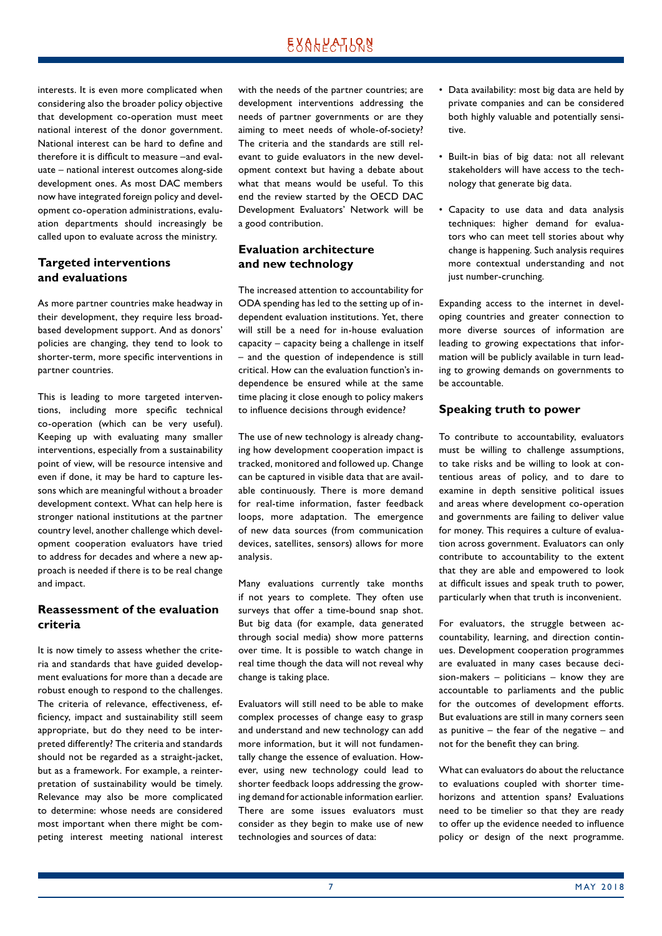interests. It is even more complicated when considering also the broader policy objective that development co-operation must meet national interest of the donor government. National interest can be hard to define and therefore it is difficult to measure –and evaluate – national interest outcomes along-side development ones. As most DAC members now have integrated foreign policy and development co-operation administrations, evaluation departments should increasingly be called upon to evaluate across the ministry.

# **Targeted interventions and evaluations**

As more partner countries make headway in their development, they require less broadbased development support. And as donors' policies are changing, they tend to look to shorter-term, more specific interventions in partner countries.

This is leading to more targeted interventions, including more specific technical co-operation (which can be very useful). Keeping up with evaluating many smaller interventions, especially from a sustainability point of view, will be resource intensive and even if done, it may be hard to capture lessons which are meaningful without a broader development context. What can help here is stronger national institutions at the partner country level, another challenge which development cooperation evaluators have tried to address for decades and where a new approach is needed if there is to be real change and impact.

### **Reassessment of the evaluation criteria**

It is now timely to assess whether the criteria and standards that have guided development evaluations for more than a decade are robust enough to respond to the challenges. The criteria of relevance, effectiveness, efficiency, impact and sustainability still seem appropriate, but do they need to be interpreted differently? The criteria and standards should not be regarded as a straight-jacket, but as a framework. For example, a reinterpretation of sustainability would be timely. Relevance may also be more complicated to determine: whose needs are considered most important when there might be competing interest meeting national interest with the needs of the partner countries; are development interventions addressing the needs of partner governments or are they aiming to meet needs of whole-of-society? The criteria and the standards are still relevant to guide evaluators in the new development context but having a debate about what that means would be useful. To this end the review started by the OECD DAC Development Evaluators' Network will be a good contribution.

### **Evaluation architecture and new technology**

The increased attention to accountability for ODA spending has led to the setting up of in‑ dependent evaluation institutions. Yet, there will still be a need for in-house evaluation capacity – capacity being a challenge in itself – and the question of independence is still critical. How can the evaluation function's independence be ensured while at the same time placing it close enough to policy makers to influence decisions through evidence?

The use of new technology is already changing how development cooperation impact is tracked, monitored and followed up. Change can be captured in visible data that are available continuously. There is more demand for real-time information, faster feedback loops, more adaptation. The emergence of new data sources (from communication devices, satellites, sensors) allows for more analysis.

Many evaluations currently take months if not years to complete. They often use surveys that offer a time-bound snap shot. But big data (for example, data generated through social media) show more patterns over time. It is possible to watch change in real time though the data will not reveal why change is taking place.

Evaluators will still need to be able to make complex processes of change easy to grasp and understand and new technology can add more information, but it will not fundamentally change the essence of evaluation. However, using new technology could lead to shorter feedback loops addressing the growing demand for actionable information earlier. There are some issues evaluators must consider as they begin to make use of new technologies and sources of data:

- Data availability: most big data are held by private companies and can be considered both highly valuable and potentially sensitive.
- Built-in bias of big data: not all relevant stakeholders will have access to the technology that generate big data.
- Capacity to use data and data analysis techniques: higher demand for evaluators who can meet tell stories about why change is happening. Such analysis requires more contextual understanding and not just number-crunching.

Expanding access to the internet in developing countries and greater connection to more diverse sources of information are leading to growing expectations that information will be publicly available in turn leading to growing demands on governments to be accountable.

### **Speaking truth to power**

To contribute to accountability, evaluators must be willing to challenge assumptions, to take risks and be willing to look at contentious areas of policy, and to dare to examine in depth sensitive political issues and areas where development co-operation and governments are failing to deliver value for money. This requires a culture of evaluation across government. Evaluators can only contribute to accountability to the extent that they are able and empowered to look at difficult issues and speak truth to power, particularly when that truth is inconvenient.

For evaluators, the struggle between accountability, learning, and direction continues. Development cooperation programmes are evaluated in many cases because decision-makers – politicians – know they are accountable to parliaments and the public for the outcomes of development efforts. But evaluations are still in many corners seen as punitive – the fear of the negative – and not for the benefit they can bring.

What can evaluators do about the reluctance to evaluations coupled with shorter timehorizons and attention spans? Evaluations need to be timelier so that they are ready to offer up the evidence needed to influence policy or design of the next programme.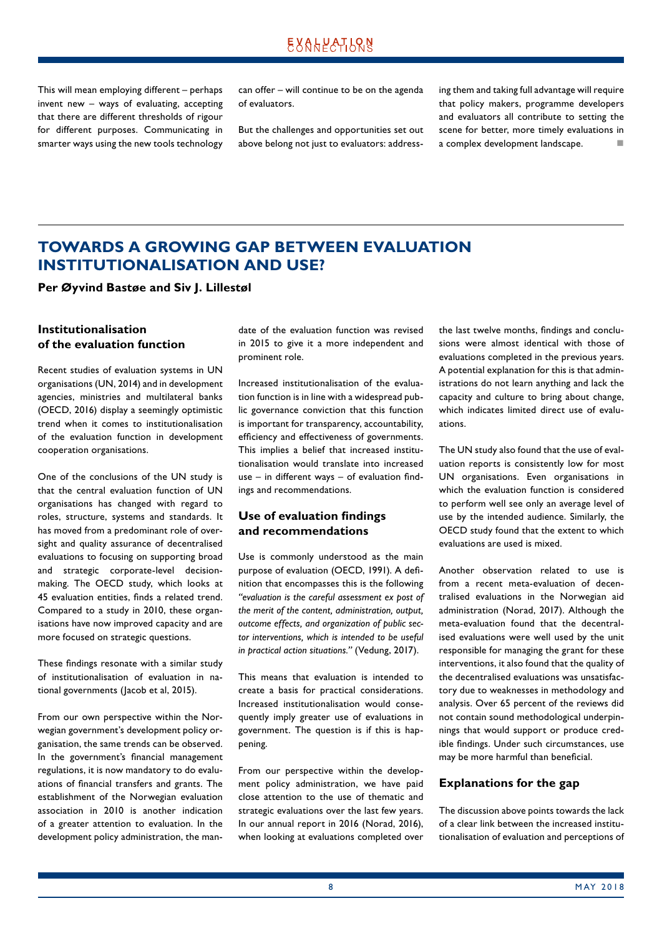<span id="page-7-0"></span>This will mean employing different – perhaps invent new – ways of evaluating, accepting that there are different thresholds of rigour for different purposes. Communicating in smarter ways using the new tools technology can offer – will continue to be on the agenda of evaluators.

But the challenges and opportunities set out above belong not just to evaluators: addressing them and taking full advantage will require that policy makers, programme developers and evaluators all contribute to setting the scene for better, more timely evaluations in a complex development landscape.

# **TOWARDS A GROWING GAP BETWEEN EVALUATION INSTITUTIONALISATION AND USE?**

**Per Øyvind Bastøe and Siv J. Lillestøl**

# **Institutionalisation of the evaluation function**

Recent studies of evaluation systems in UN organisations (UN, 2014) and in development agencies, ministries and multilateral banks (OECD, 2016) display a seemingly optimistic trend when it comes to institutionalisation of the evaluation function in development cooperation organisations.

One of the conclusions of the UN study is that the central evaluation function of UN organisations has changed with regard to roles, structure, systems and standards. It has moved from a predominant role of oversight and quality assurance of decentralised evaluations to focusing on supporting broad and strategic corporate-level decisionmaking. The OECD study, which looks at 45 evaluation entities, finds a related trend. Compared to a study in 2010, these organisations have now improved capacity and are more focused on strategic questions.

These findings resonate with a similar study of institutionalisation of evaluation in na‑ tional governments (Jacob et al, 2015).

From our own perspective within the Norwegian government's development policy organisation, the same trends can be observed. In the government's financial management regulations, it is now mandatory to do evaluations of financial transfers and grants. The establishment of the Norwegian evaluation association in 2010 is another indication of a greater attention to evaluation. In the development policy administration, the mandate of the evaluation function was revised in 2015 to give it a more independent and prominent role.

Increased institutionalisation of the evaluation function is in line with a widespread public governance conviction that this function is important for transparency, accountability, efficiency and effectiveness of governments. This implies a belief that increased institutionalisation would translate into increased use  $-$  in different ways  $-$  of evaluation findings and recommendations.

# **Use of evaluation findings and recommendations**

Use is commonly understood as the main purpose of evaluation (OECD, 1991). A definition that encompasses this is the following *"evaluation is the careful assessment ex post of the merit of the content, administration, output, outcome effects, and organization of public sector interventions, which is intended to be useful in practical action situations."* (Vedung, 2017).

This means that evaluation is intended to create a basis for practical considerations. Increased institutionalisation would consequently imply greater use of evaluations in government. The question is if this is happening.

From our perspective within the development policy administration, we have paid close attention to the use of thematic and strategic evaluations over the last few years. In our annual report in 2016 (Norad, 2016), when looking at evaluations completed over the last twelve months, findings and conclusions were almost identical with those of evaluations completed in the previous years. A potential explanation for this is that administrations do not learn anything and lack the capacity and culture to bring about change, which indicates limited direct use of evaluations.

The UN study also found that the use of evaluation reports is consistently low for most UN organisations. Even organisations in which the evaluation function is considered to perform well see only an average level of use by the intended audience. Similarly, the OECD study found that the extent to which evaluations are used is mixed.

Another observation related to use is from a recent meta-evaluation of decentralised evaluations in the Norwegian aid administration (Norad, 2017). Although the meta-evaluation found that the decentralised evaluations were well used by the unit responsible for managing the grant for these interventions, it also found that the quality of the decentralised evaluations was unsatisfactory due to weaknesses in methodology and analysis. Over 65 percent of the reviews did not contain sound methodological underpinnings that would support or produce credible findings. Under such circumstances, use may be more harmful than beneficial.

#### **Explanations for the gap**

The discussion above points towards the lack of a clear link between the increased institutionalisation of evaluation and perceptions of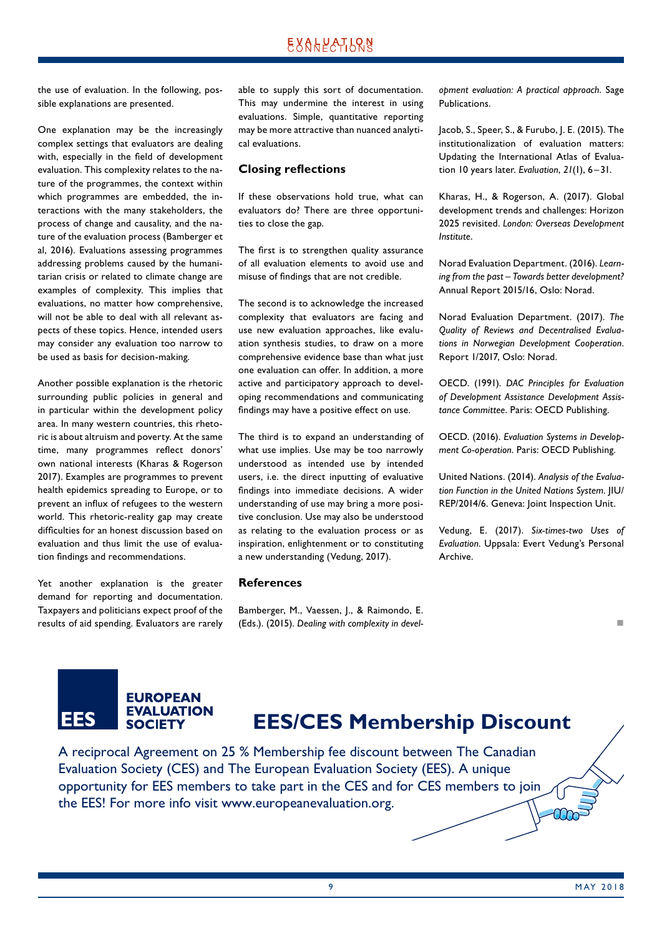the use of evaluation. In the following, possible explanations are presented.

One explanation may be the increasingly complex settings that evaluators are dealing with, especially in the field of development evaluation. This complexity relates to the nature of the programmes, the context within which programmes are embedded, the interactions with the many stakeholders, the process of change and causality, and the nature of the evaluation process (Bamberger et al, 2016). Evaluations assessing programmes addressing problems caused by the humanitarian crisis or related to climate change are examples of complexity. This implies that evaluations, no matter how comprehensive, will not be able to deal with all relevant aspects of these topics. Hence, intended users may consider any evaluation too narrow to be used as basis for decision-making.

Another possible explanation is the rhetoric surrounding public policies in general and in particular within the development policy area. In many western countries, this rhetoric is about altruism and poverty. At the same time, many programmes reflect donors' own national interests (Kharas & Rogerson 2017). Examples are programmes to prevent health epidemics spreading to Europe, or to prevent an influx of refugees to the western world. This rhetoric-reality gap may create difficulties for an honest discussion based on evaluation and thus limit the use of evaluation findings and recommendations.

Yet another explanation is the greater demand for reporting and documentation. Taxpayers and politicians expect proof of the results of aid spending. Evaluators are rarely able to supply this sort of documentation. This may undermine the interest in using evaluations. Simple, quantitative reporting may be more attractive than nuanced analytical evaluations.

### **Closing reflections**

If these observations hold true, what can evaluators do? There are three opportunities to close the gap.

The first is to strengthen quality assurance of all evaluation elements to avoid use and misuse of findings that are not credible.

The second is to acknowledge the increased complexity that evaluators are facing and use new evaluation approaches, like evaluation synthesis studies, to draw on a more comprehensive evidence base than what just one evaluation can offer. In addition, a more active and participatory approach to developing recommendations and communicating findings may have a positive effect on use.

The third is to expand an understanding of what use implies. Use may be too narrowly understood as intended use by intended users, i.e. the direct inputting of evaluative findings into immediate decisions. A wider understanding of use may bring a more positive conclusion. Use may also be understood as relating to the evaluation process or as inspiration, enlightenment or to constituting a new understanding (Vedung, 2017).

#### **References**

Bamberger, M., Vaessen, J., & Raimondo, E. (Eds.). (2015). *Dealing with complexity in devel-* *opment evaluation: A practical approach*. Sage Publications.

Jacob, S., Speer, S., & Furubo, J. E. (2015). The institutionalization of evaluation matters: Updating the International Atlas of Evaluation 10 years later. *Evaluation*, *21*(1), 6–31.

Kharas, H., & Rogerson, A. (2017). Global development trends and challenges: Horizon 2025 revisited. *London: Overseas Development Institute*.

Norad Evaluation Department. (2016). *Learning from the past – Towards better development?* Annual Report 2015/16, Oslo: Norad.

Norad Evaluation Department. (2017). *The Quality of Reviews and Decentralised Evaluations in Norwegian Development Cooperation*. Report 1/2017, Oslo: Norad.

OECD. (1991). *DAC Principles for Evaluation of Development Assistance Development Assistance Committee*. Paris: OECD Publishing.

OECD. (2016). *Evaluation Systems in Development Co-operation*. Paris: OECD Publishing.

United Nations. (2014). *Analysis of the Evaluation Function in the United Nations System*. JIU/ REP/2014/6. Geneva: Joint Inspection Unit.

Vedung, E. (2017). *Six-times-two Uses of Evaluation*. Uppsala: Evert Vedung's Personal Archive.

### **EUROPEAN EVALUATION EES SOCIETY**

# **EES/CES Membership Discount**

A reciprocal Agreement on 25 % Membership fee discount between The Canadian Evaluation Society (CES) and The European Evaluation Society (EES). A unique opportunity for EES members to take part in the CES and for CES members to join the EES! For more info visit www.europeanevaluation.org.  $\overline{\text{max}}$  n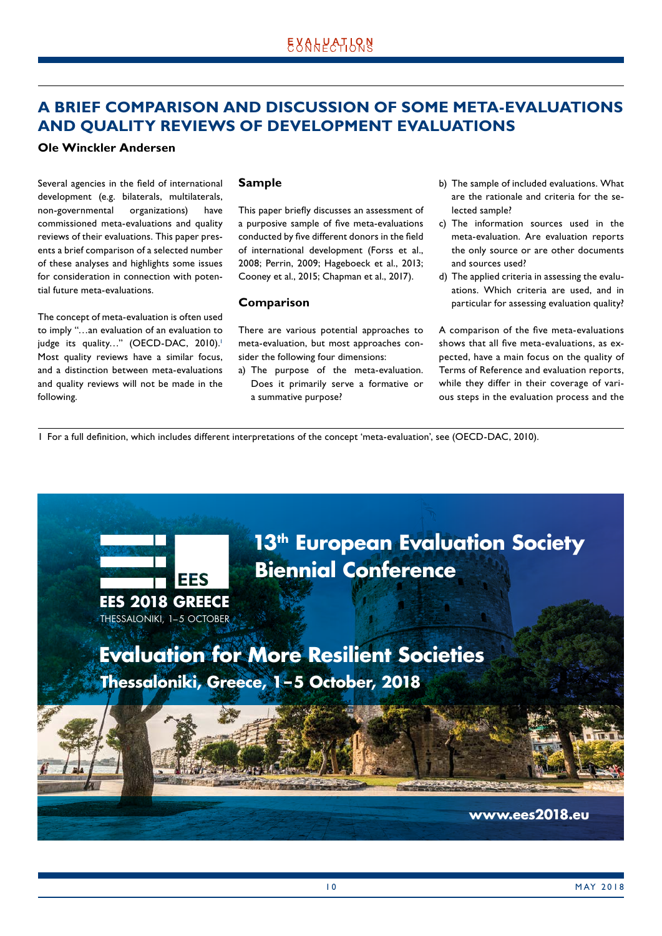# <span id="page-9-0"></span>**A BRIEF COMPARISON AND DISCUSSION OF SOME META-EVALUATIONS AND QUALITY REVIEWS OF DEVELOPMENT EVALUATIONS**

### **Ole Winckler Andersen**

Several agencies in the field of international development (e.g. bilaterals, multilaterals, non-governmental organizations) have commissioned meta-evaluations and quality reviews of their evaluations. This paper presents a brief comparison of a selected number of these analyses and highlights some issues for consideration in connection with potential future meta-evaluations.

The concept of meta-evaluation is often used to imply "…an evaluation of an evaluation to judge its quality..." (OECD-DAC, 2010).<sup>1</sup> Most quality reviews have a similar focus, and a distinction between meta-evaluations and quality reviews will not be made in the following.

### **Sample**

This paper briefly discusses an assessment of a purposive sample of five meta-evaluations conducted by five different donors in the field of international development (Forss et al., 2008; Perrin, 2009; Hageboeck et al., 2013; Cooney et al., 2015; Chapman et al., 2017).

### **Comparison**

There are various potential approaches to meta-evaluation, but most approaches consider the following four dimensions:

a) The purpose of the meta-evaluation. Does it primarily serve a formative or a summative purpose?

- b) The sample of included evaluations. What are the rationale and criteria for the selected sample?
- c) The information sources used in the meta-evaluation. Are evaluation reports the only source or are other documents and sources used?
- d) The applied criteria in assessing the evaluations. Which criteria are used, and in particular for assessing evaluation quality?

A comparison of the five meta-evaluations shows that all five meta-evaluations, as expected, have a main focus on the quality of Terms of Reference and evaluation reports, while they differ in their coverage of various steps in the evaluation process and the

1 For a full definition, which includes different interpretations of the concept 'meta-evaluation', see (OECD-DAC, 2010).

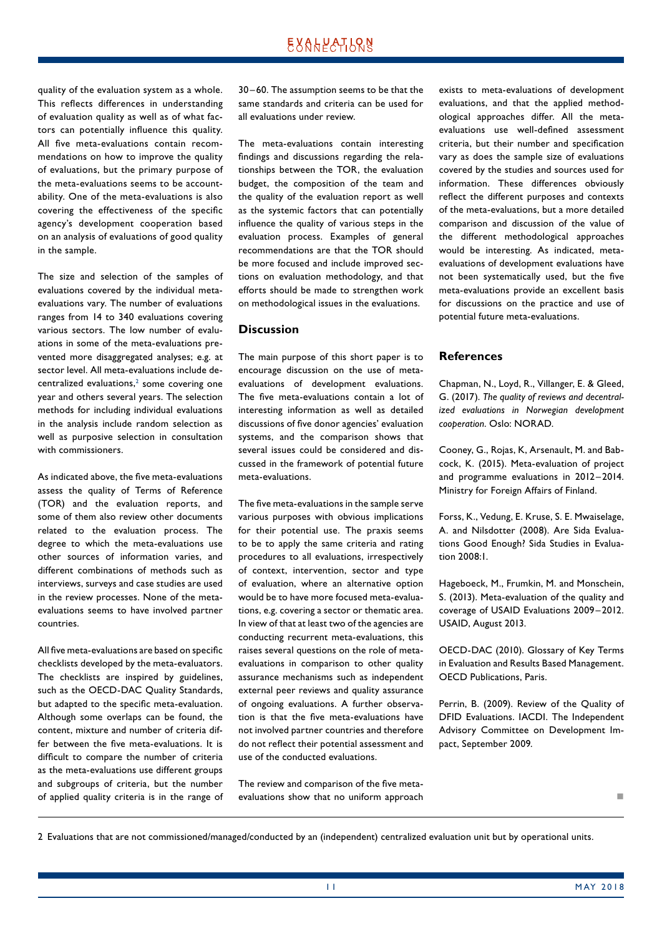quality of the evaluation system as a whole. This reflects differences in understanding of evaluation quality as well as of what factors can potentially influence this quality. All five meta-evaluations contain recommendations on how to improve the quality of evaluations, but the primary purpose of the meta-evaluations seems to be accountability. One of the meta-evaluations is also covering the effectiveness of the specific agency's development cooperation based on an analysis of evaluations of good quality in the sample.

The size and selection of the samples of evaluations covered by the individual metaevaluations vary. The number of evaluations ranges from 14 to 340 evaluations covering various sectors. The low number of evaluations in some of the meta-evaluations prevented more disaggregated analyses; e.g. at sector level. All meta-evaluations include de $centralized$  evaluations, $2$  some covering one year and others several years. The selection methods for including individual evaluations in the analysis include random selection as well as purposive selection in consultation with commissioners.

As indicated above, the five meta-evaluations assess the quality of Terms of Reference (TOR) and the evaluation reports, and some of them also review other documents related to the evaluation process. The degree to which the meta-evaluations use other sources of information varies, and different combinations of methods such as interviews, surveys and case studies are used in the review processes. None of the metaevaluations seems to have involved partner countries.

All five meta-evaluations are based on specific checklists developed by the meta-evaluators. The checklists are inspired by guidelines, such as the OECD-DAC Quality Standards, but adapted to the specific meta-evaluation. Although some overlaps can be found, the content, mixture and number of criteria differ between the five meta-evaluations. It is difficult to compare the number of criteria as the meta-evaluations use different groups and subgroups of criteria, but the number of applied quality criteria is in the range of 30 –60. The assumption seems to be that the same standards and criteria can be used for all evaluations under review.

The meta-evaluations contain interesting findings and discussions regarding the relationships between the TOR, the evaluation budget, the composition of the team and the quality of the evaluation report as well as the systemic factors that can potentially influence the quality of various steps in the evaluation process. Examples of general recommendations are that the TOR should be more focused and include improved sections on evaluation methodology, and that efforts should be made to strengthen work on methodological issues in the evaluations.

#### **Discussion**

The main purpose of this short paper is to encourage discussion on the use of metaevaluations of development evaluations. The five meta-evaluations contain a lot of interesting information as well as detailed discussions of five donor agencies' evaluation systems, and the comparison shows that several issues could be considered and discussed in the framework of potential future meta-evaluations.

The five meta-evaluations in the sample serve various purposes with obvious implications for their potential use. The praxis seems to be to apply the same criteria and rating procedures to all evaluations, irrespectively of context, intervention, sector and type of evaluation, where an alternative option would be to have more focused meta-evaluations, e.g. covering a sector or thematic area. In view of that at least two of the agencies are conducting recurrent meta-evaluations, this raises several questions on the role of metaevaluations in comparison to other quality assurance mechanisms such as independent external peer reviews and quality assurance of ongoing evaluations. A further observation is that the five meta-evaluations have not involved partner countries and therefore do not reflect their potential assessment and use of the conducted evaluations.

The review and comparison of the five metaevaluations show that no uniform approach exists to meta-evaluations of development evaluations, and that the applied methodological approaches differ. All the metaevaluations use well-defined assessment criteria, but their number and specification vary as does the sample size of evaluations covered by the studies and sources used for information. These differences obviously reflect the different purposes and contexts of the meta-evaluations, but a more detailed comparison and discussion of the value of the different methodological approaches would be interesting. As indicated, metaevaluations of development evaluations have not been systematically used, but the five meta-evaluations provide an excellent basis for discussions on the practice and use of potential future meta-evaluations.

#### **References**

Chapman, N., Loyd, R., Villanger, E. & Gleed, G. (2017). *The quality of reviews and decentralized evaluations in Norwegian development cooperation*. Oslo: NORAD.

Cooney, G., Rojas, K, Arsenault, M. and Bab‑ cock, K. (2015). Meta-evaluation of project and programme evaluations in 2012-2014. Ministry for Foreign Affairs of Finland.

Forss, K., Vedung, E. Kruse, S. E. Mwaiselage, A. and Nilsdotter (2008). Are Sida Evaluations Good Enough? Sida Studies in Evaluation 2008:1.

Hageboeck, M., Frumkin, M. and Monschein, S. (2013). Meta-evaluation of the quality and coverage of USAID Evaluations 2009 –2012. USAID, August 2013.

OECD-DAC (2010). Glossary of Key Terms in Evaluation and Results Based Management. OECD Publications, Paris.

Perrin, B. (2009). Review of the Quality of DFID Evaluations. IACDI. The Independent Advisory Committee on Development Impact, September 2009.

not a contract the contract of the

2 Evaluations that are not commissioned/managed/conducted by an (independent) centralized evaluation unit but by operational units.